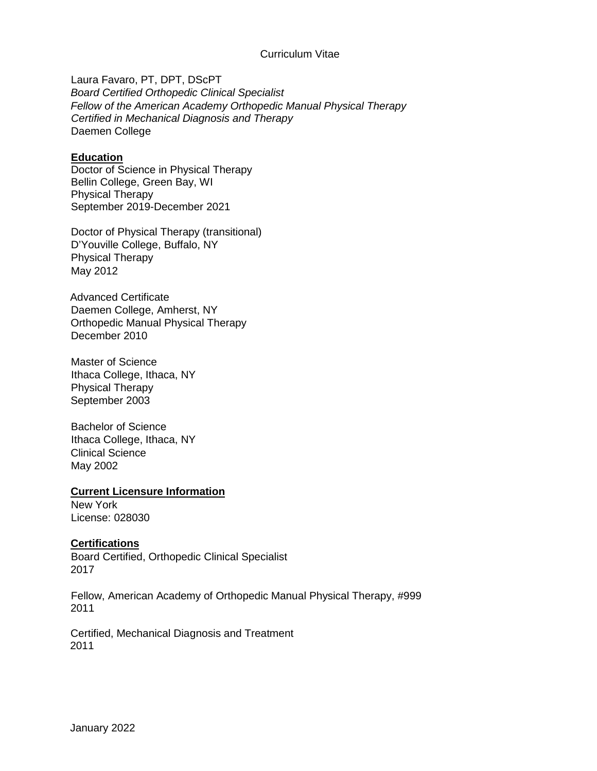### Curriculum Vitae

Laura Favaro, PT, DPT, DScPT *Board Certified Orthopedic Clinical Specialist Fellow of the American Academy Orthopedic Manual Physical Therapy Certified in Mechanical Diagnosis and Therapy*  Daemen College

### **Education**

Doctor of Science in Physical Therapy Bellin College, Green Bay, WI Physical Therapy September 2019-December 2021

Doctor of Physical Therapy (transitional) D'Youville College, Buffalo, NY Physical Therapy May 2012

Advanced Certificate Daemen College, Amherst, NY Orthopedic Manual Physical Therapy December 2010

Master of Science Ithaca College, Ithaca, NY Physical Therapy September 2003

Bachelor of Science Ithaca College, Ithaca, NY Clinical Science May 2002

### **Current Licensure Information**

New York License: 028030

### **Certifications**

Board Certified, Orthopedic Clinical Specialist 2017

Fellow, American Academy of Orthopedic Manual Physical Therapy, #999 2011

Certified, Mechanical Diagnosis and Treatment 2011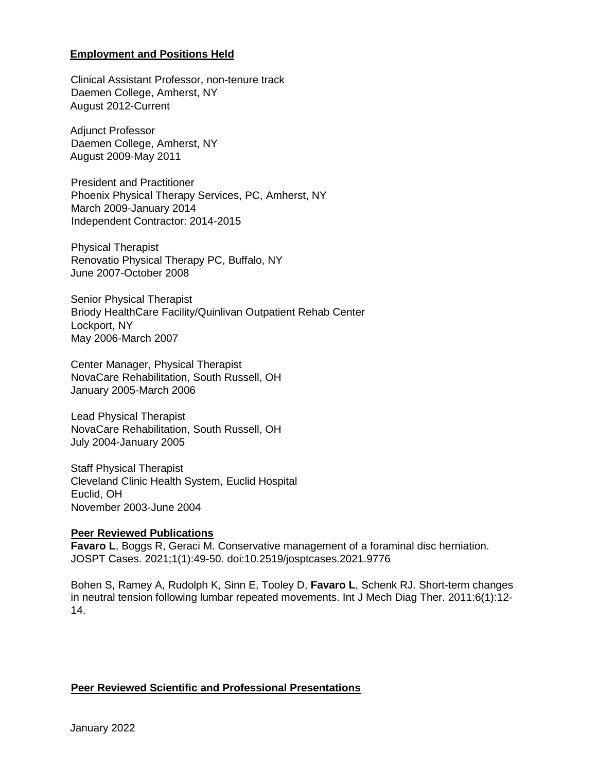### **Employment and Positions Held**

Clinical Assistant Professor, non-tenure track Daemen College, Amherst, NY August 2012-Current

Adjunct Professor Daemen College, Amherst, NY August 2009-May 2011

President and Practitioner Phoenix Physical Therapy Services, PC, Amherst, NY March 2009-January 2014 Independent Contractor: 2014-2015

Physical Therapist Renovatio Physical Therapy PC, Buffalo, NY June 2007-October 2008

Senior Physical Therapist Briody HealthCare Facility/Quinlivan Outpatient Rehab Center Lockport, NY May 2006-March 2007

Center Manager, Physical Therapist NovaCare Rehabilitation, South Russell, OH January 2005-March 2006

Lead Physical Therapist NovaCare Rehabilitation, South Russell, OH July 2004-January 2005

Staff Physical Therapist Cleveland Clinic Health System, Euclid Hospital Euclid, OH November 2003-June 2004

### **Peer Reviewed Publications**

**Favaro L**, Boggs R, Geraci M. Conservative management of a foraminal disc herniation. JOSPT Cases. 2021;1(1):49-50. doi:10.2519/josptcases.2021.9776

Bohen S, Ramey A, Rudolph K, Sinn E, Tooley D, **Favaro L**, Schenk RJ. Short-term changes in neutral tension following lumbar repeated movements. Int J Mech Diag Ther. 2011:6(1):12- 14.

### **Peer Reviewed Scientific and Professional Presentations**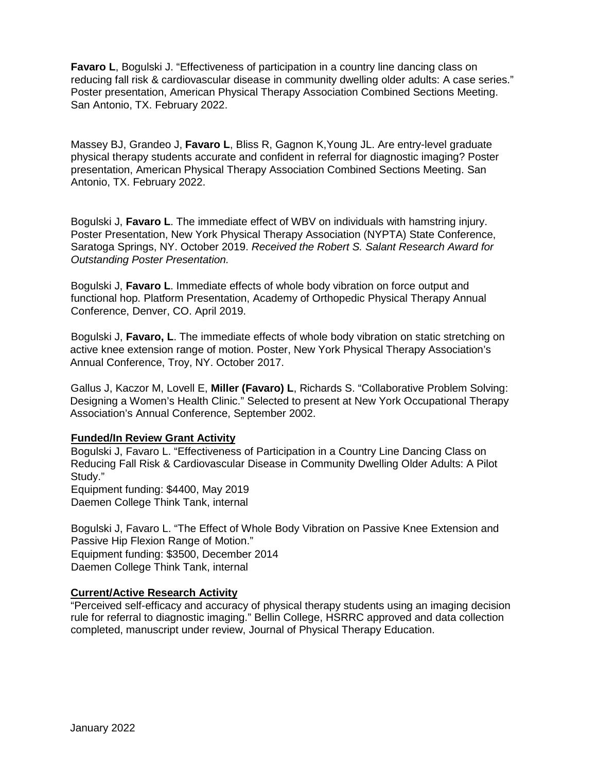**Favaro L, Bogulski J. "Effectiveness of participation in a country line dancing class on** reducing fall risk & cardiovascular disease in community dwelling older adults: A case series." Poster presentation, American Physical Therapy Association Combined Sections Meeting. San Antonio, TX. February 2022.

Massey BJ, Grandeo J, **Favaro L**, Bliss R, Gagnon K,Young JL. Are entry-level graduate physical therapy students accurate and confident in referral for diagnostic imaging? Poster presentation, American Physical Therapy Association Combined Sections Meeting. San Antonio, TX. February 2022.

Bogulski J, **Favaro L**. The immediate effect of WBV on individuals with hamstring injury. Poster Presentation, New York Physical Therapy Association (NYPTA) State Conference, Saratoga Springs, NY. October 2019. *Received the Robert S. Salant Research Award for Outstanding Poster Presentation.*

Bogulski J, **Favaro L**. Immediate effects of whole body vibration on force output and functional hop. Platform Presentation, Academy of Orthopedic Physical Therapy Annual Conference, Denver, CO. April 2019.

Bogulski J, **Favaro, L**. The immediate effects of whole body vibration on static stretching on active knee extension range of motion. Poster, New York Physical Therapy Association's Annual Conference, Troy, NY. October 2017.

Gallus J, Kaczor M, Lovell E, **Miller (Favaro) L**, Richards S. "Collaborative Problem Solving: Designing a Women's Health Clinic." Selected to present at New York Occupational Therapy Association's Annual Conference, September 2002.

# **Funded/In Review Grant Activity**

Bogulski J, Favaro L. "Effectiveness of Participation in a Country Line Dancing Class on Reducing Fall Risk & Cardiovascular Disease in Community Dwelling Older Adults: A Pilot Study." Equipment funding: \$4400, May 2019 Daemen College Think Tank, internal

Bogulski J, Favaro L. "The Effect of Whole Body Vibration on Passive Knee Extension and Passive Hip Flexion Range of Motion." Equipment funding: \$3500, December 2014 Daemen College Think Tank, internal

### **Current/Active Research Activity**

"Perceived self-efficacy and accuracy of physical therapy students using an imaging decision rule for referral to diagnostic imaging." Bellin College, HSRRC approved and data collection completed, manuscript under review, Journal of Physical Therapy Education.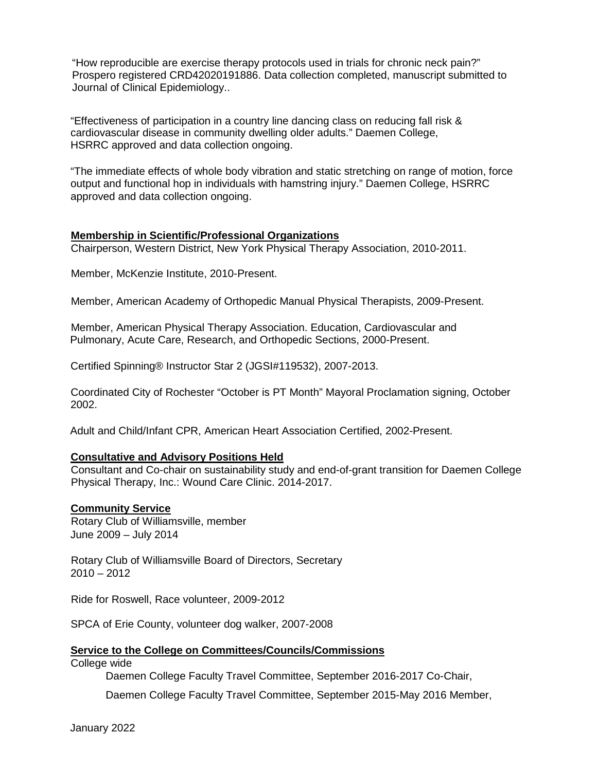"How reproducible are exercise therapy protocols used in trials for chronic neck pain?" Prospero registered CRD42020191886. Data collection completed, manuscript submitted to Journal of Clinical Epidemiology..

"Effectiveness of participation in a country line dancing class on reducing fall risk & cardiovascular disease in community dwelling older adults." Daemen College, HSRRC approved and data collection ongoing.

"The immediate effects of whole body vibration and static stretching on range of motion, force output and functional hop in individuals with hamstring injury." Daemen College, HSRRC approved and data collection ongoing.

### **Membership in Scientific/Professional Organizations**

Chairperson, Western District, New York Physical Therapy Association, 2010-2011.

Member, McKenzie Institute, 2010-Present.

Member, American Academy of Orthopedic Manual Physical Therapists, 2009-Present.

Member, American Physical Therapy Association. Education, Cardiovascular and Pulmonary, Acute Care, Research, and Orthopedic Sections, 2000-Present.

Certified Spinning® Instructor Star 2 (JGSI#119532), 2007-2013.

Coordinated City of Rochester "October is PT Month" Mayoral Proclamation signing, October 2002.

Adult and Child/Infant CPR, American Heart Association Certified, 2002-Present.

# **Consultative and Advisory Positions Held**

Consultant and Co-chair on sustainability study and end-of-grant transition for Daemen College Physical Therapy, Inc.: Wound Care Clinic. 2014-2017.

# **Community Service**

Rotary Club of Williamsville, member June 2009 – July 2014

Rotary Club of Williamsville Board of Directors, Secretary  $2010 - 2012$ 

Ride for Roswell, Race volunteer, 2009-2012

SPCA of Erie County, volunteer dog walker, 2007-2008

# **Service to the College on Committees/Councils/Commissions**

College wide

Daemen College Faculty Travel Committee, September 2016-2017 Co-Chair,

Daemen College Faculty Travel Committee, September 2015-May 2016 Member,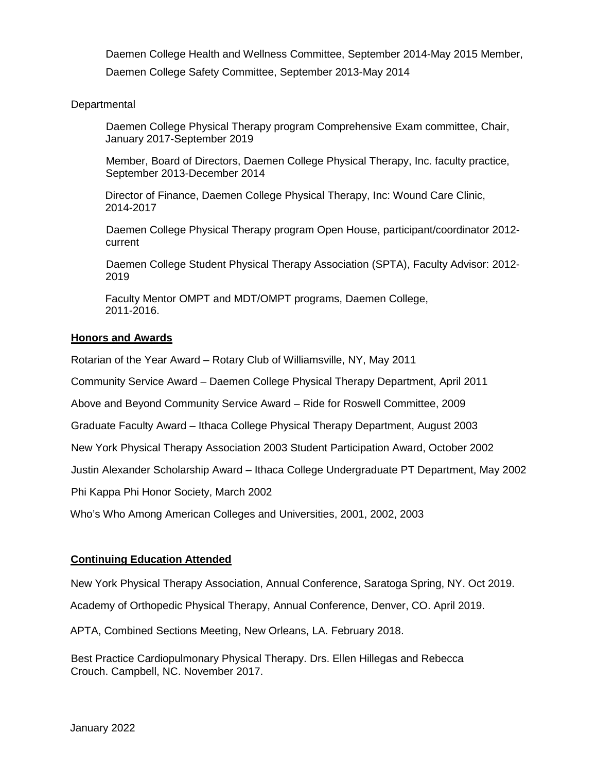Daemen College Health and Wellness Committee, September 2014-May 2015 Member, Daemen College Safety Committee, September 2013-May 2014

### **Departmental**

Daemen College Physical Therapy program Comprehensive Exam committee, Chair, January 2017-September 2019

Member, Board of Directors, Daemen College Physical Therapy, Inc. faculty practice, September 2013-December 2014

Director of Finance, Daemen College Physical Therapy, Inc: Wound Care Clinic, 2014-2017

Daemen College Physical Therapy program Open House, participant/coordinator 2012 current

Daemen College Student Physical Therapy Association (SPTA), Faculty Advisor: 2012- 2019

Faculty Mentor OMPT and MDT/OMPT programs, Daemen College, 2011-2016.

### **Honors and Awards**

Rotarian of the Year Award – Rotary Club of Williamsville, NY, May 2011

Community Service Award – Daemen College Physical Therapy Department, April 2011

Above and Beyond Community Service Award – Ride for Roswell Committee, 2009

Graduate Faculty Award – Ithaca College Physical Therapy Department, August 2003

New York Physical Therapy Association 2003 Student Participation Award, October 2002

Justin Alexander Scholarship Award – Ithaca College Undergraduate PT Department, May 2002

Phi Kappa Phi Honor Society, March 2002

Who's Who Among American Colleges and Universities, 2001, 2002, 2003

### **Continuing Education Attended**

New York Physical Therapy Association, Annual Conference, Saratoga Spring, NY. Oct 2019. Academy of Orthopedic Physical Therapy, Annual Conference, Denver, CO. April 2019.

APTA, Combined Sections Meeting, New Orleans, LA. February 2018.

Best Practice Cardiopulmonary Physical Therapy. Drs. Ellen Hillegas and Rebecca Crouch. Campbell, NC. November 2017.